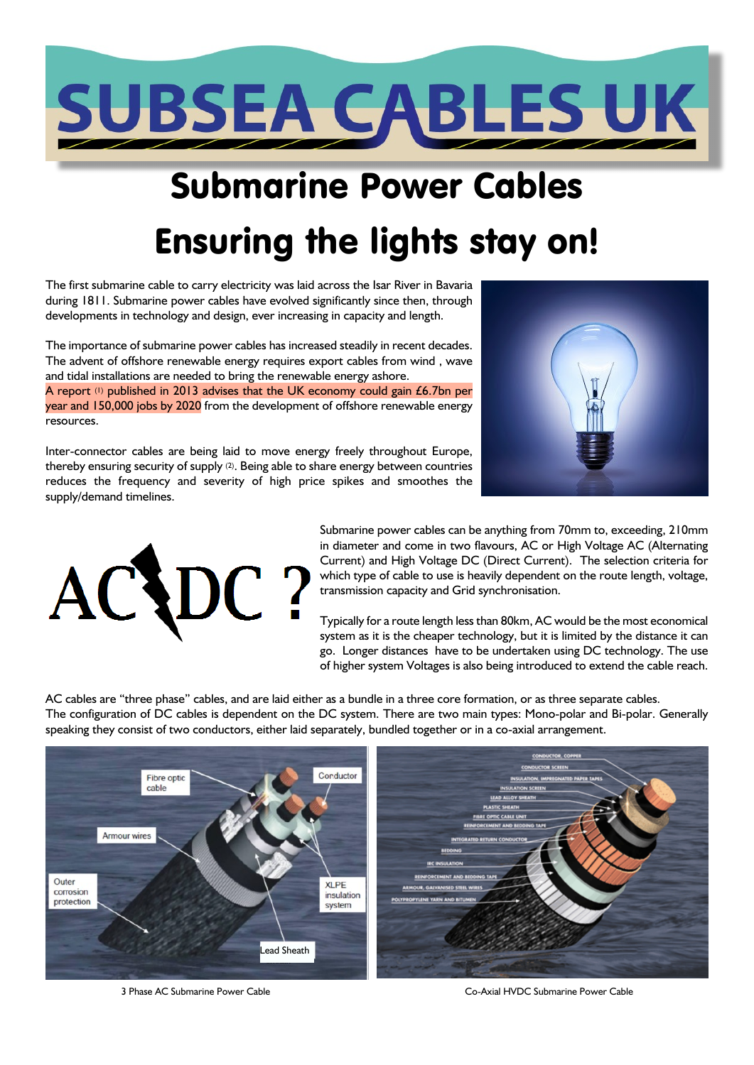

# Submarine Power Cables Ensuring the lights stay on!

The first submarine cable to carry electricity was laid across the Isar River in Bavaria during 1811. Submarine power cables have evolved significantly since then, through developments in technology and design, ever increasing in capacity and length.

The importance of submarine power cables has increased steadily in recent decades. The advent of offshore renewable energy requires export cables from wind , wave and tidal installations are needed to bring the renewable energy ashore. A report (1) published in 2013 advises that the UK economy could gain £6.7bn per year and 150,000 jobs by 2020 from the development of offshore renewable energy resources.

Inter-connector cables are being laid to move energy freely throughout Europe, thereby ensuring security of supply (2). Being able to share energy between countries reduces the frequency and severity of high price spikes and smoothes the supply/demand timelines.





Submarine power cables can be anything from 70mm to, exceeding, 210mm in diameter and come in two flavours, AC or High Voltage AC (Alternating Current) and High Voltage DC (Direct Current). The selection criteria for which type of cable to use is heavily dependent on the route length, voltage, transmission capacity and Grid synchronisation.

Typically for a route length less than 80km, AC would be the most economical system as it is the cheaper technology, but it is limited by the distance it can go. Longer distances have to be undertaken using DC technology. The use of higher system Voltages is also being introduced to extend the cable reach.

AC cables are "three phase" cables, and are laid either as a bundle in a three core formation, or as three separate cables. The configuration of DC cables is dependent on the DC system. There are two main types: Mono-polar and Bi-polar. Generally speaking they consist of two conductors, either laid separately, bundled together or in a co-axial arrangement.



3 Phase AC Submarine Power Cable Co-Axial HVDC Submarine Power Cable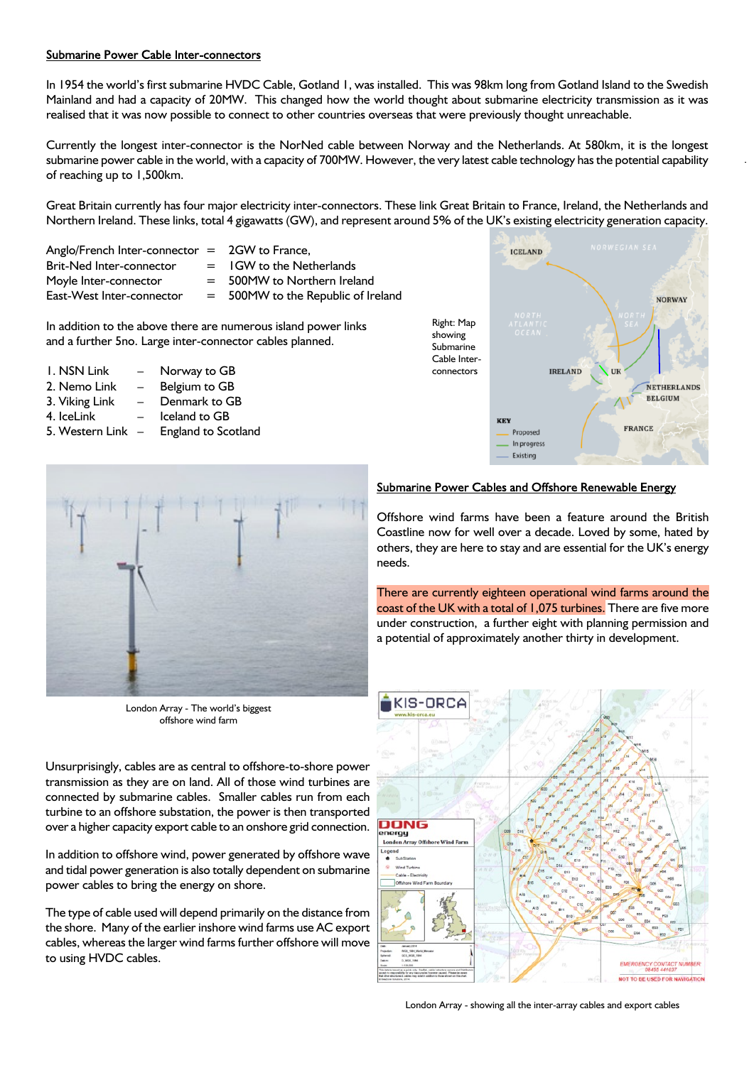#### Submarine Power Cable Inter-connectors

In 1954 the world's first submarine HVDC Cable, Gotland 1, was installed. This was 98km long from Gotland Island to the Swedish Mainland and had a capacity of 20MW. This changed how the world thought about submarine electricity transmission as it was realised that it was now possible to connect to other countries overseas that were previously thought unreachable.

Currently the longest inter-connector is the NorNed cable between Norway and the Netherlands. At 580km, it is the longest submarine power cable in the world, with a capacity of 700MW. However, the very latest cable technology has the potential capability of reaching up to 1,500km.

Great Britain currently has four major electricity inter-connectors. These link Great Britain to France, Ireland, the Netherlands and Northern Ireland. These links, total 4 gigawatts (GW), and represent around 5% of the UK's existing electricity generation capacity.

Anglo/French Inter-connector  $=$  2GW to France, Brit-Ned Inter-connector  $=$  IGW to the Netherlands Moyle Inter-connector  $=$  500MW to Northern Ireland East-West Inter-connector  $= 500$ MW to the Republic of Ireland

In addition to the above there are numerous island power links and a further 5no. Large inter-connector cables planned.

1. NSN Link – Norway to GB 2. Nemo Link – Belgium to GB 3. Viking Link – Denmark to GB 4. IceLink – Iceland to GB 5. Western Link – England to Scotland





London Array - The world's biggest offshore wind farm

Unsurprisingly, cables are as central to offshore-to-shore power transmission as they are on land. All of those wind turbines are connected by submarine cables. Smaller cables run from each turbine to an offshore substation, the power is then transported over a higher capacity export cable to an onshore grid connection.

In addition to offshore wind, power generated by offshore wave and tidal power generation is also totally dependent on submarine power cables to bring the energy on shore.

The type of cable used will depend primarily on the distance from the shore. Many of the earlier inshore wind farms use AC export cables, whereas the larger wind farms further offshore will move to using HVDC cables.

#### Submarine Power Cables and Offshore Renewable Energy

Offshore wind farms have been a feature around the British Coastline now for well over a decade. Loved by some, hated by others, they are here to stay and are essential for the UK's energy needs.

There are currently eighteen operational wind farms around the coast of the UK with a total of 1,075 turbines. There are five more under construction, a further eight with planning permission and a potential of approximately another thirty in development.



London Array - showing all the inter-array cables and export cables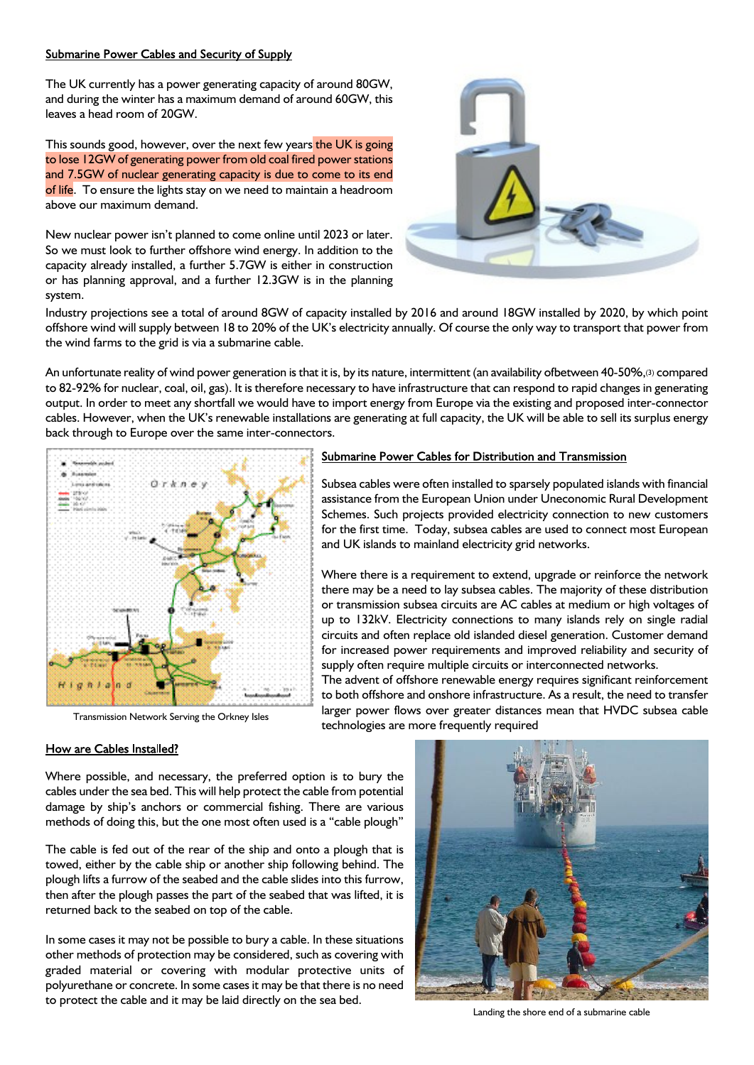#### Submarine Power Cables and Security of Supply

The UK currently has a power generating capacity of around 80GW, and during the winter has a maximum demand of around 60GW, this leaves a head room of 20GW.

This sounds good, however, over the next few years the UK is going to lose 12GW of generating power from old coal fired power stations and 7.5GW of nuclear generating capacity is due to come to its end of life. To ensure the lights stay on we need to maintain a headroom above our maximum demand.

New nuclear power isn't planned to come online until 2023 or later. So we must look to further offshore wind energy. In addition to the capacity already installed, a further 5.7GW is either in construction or has planning approval, and a further 12.3GW is in the planning system.



Industry projections see a total of around 8GW of capacity installed by 2016 and around 18GW installed by 2020, by which point offshore wind will supply between 18 to 20% of the UK's electricity annually. Of course the only way to transport that power from the wind farms to the grid is via a submarine cable.

An unfortunate reality of wind power generation is that it is, by its nature, intermittent (an availability ofbetween 40-50%,(3) compared to 82-92% for nuclear, coal, oil, gas). It is therefore necessary to have infrastructure that can respond to rapid changes in generating output. In order to meet any shortfall we would have to import energy from Europe via the existing and proposed inter-connector cables. However, when the UK's renewable installations are generating at full capacity, the UK will be able to sell its surplus energy back through to Europe over the same inter-connectors.



Transmission Network Serving the Orkney Isles

## Submarine Power Cables for Distribution and Transmission

Subsea cables were often installed to sparsely populated islands with financial assistance from the European Union under Uneconomic Rural Development Schemes. Such projects provided electricity connection to new customers for the first time. Today, subsea cables are used to connect most European and UK islands to mainland electricity grid networks.

Where there is a requirement to extend, upgrade or reinforce the network there may be a need to lay subsea cables. The majority of these distribution or transmission subsea circuits are AC cables at medium or high voltages of up to 132kV. Electricity connections to many islands rely on single radial circuits and often replace old islanded diesel generation. Customer demand for increased power requirements and improved reliability and security of supply often require multiple circuits or interconnected networks.

The advent of offshore renewable energy requires significant reinforcement to both offshore and onshore infrastructure. As a result, the need to transfer larger power flows over greater distances mean that HVDC subsea cable technologies are more frequently required

#### How are Cables Installed?

Where possible, and necessary, the preferred option is to bury the cables under the sea bed. This will help protect the cable from potential damage by ship's anchors or commercial fishing. There are various methods of doing this, but the one most often used is a "cable plough"

The cable is fed out of the rear of the ship and onto a plough that is towed, either by the cable ship or another ship following behind. The plough lifts a furrow of the seabed and the cable slides into this furrow, then after the plough passes the part of the seabed that was lifted, it is returned back to the seabed on top of the cable.

In some cases it may not be possible to bury a cable. In these situations other methods of protection may be considered, such as covering with graded material or covering with modular protective units of polyurethane or concrete. In some cases it may be that there is no need to protect the cable and it may be laid directly on the sea bed.



Landing the shore end of a submarine cable